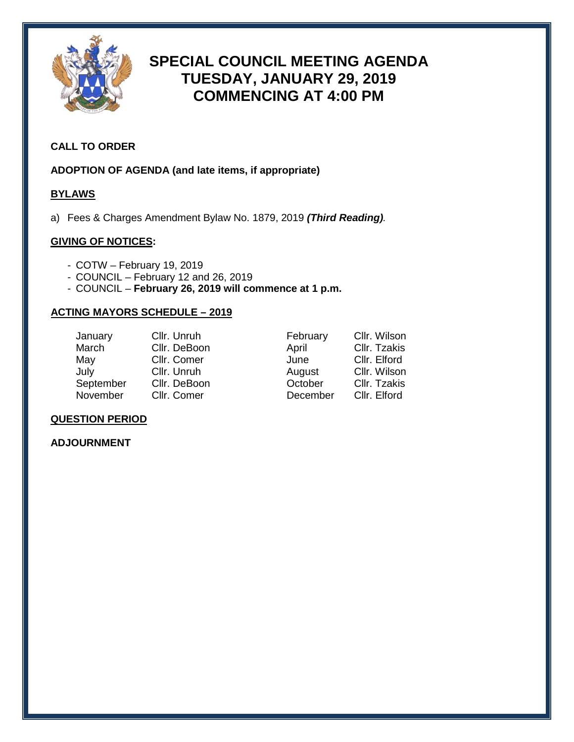

# **SPECIAL COUNCIL MEETING AGENDA TUESDAY, JANUARY 29, 2019 COMMENCING AT 4:00 PM**

#### **CALL TO ORDER**

**ADOPTION OF AGENDA (and late items, if appropriate)**

#### **BYLAWS**

a) Fees & Charges Amendment Bylaw No. 1879, 2019 *(Third Reading).*

#### **GIVING OF NOTICES:**

- COTW February 19, 2019
- COUNCIL February 12 and 26, 2019
- COUNCIL **February 26, 2019 will commence at 1 p.m.**

#### **ACTING MAYORS SCHEDULE – 2019**

| January   | Cllr. Unruh  | February | Cllr. Wilson |
|-----------|--------------|----------|--------------|
| March     | Cllr. DeBoon | April    | Cllr. Tzakis |
| May       | Cllr. Comer  | June     | Cllr. Elford |
| July      | Cllr. Unruh  | August   | Cllr. Wilson |
| September | Cllr. DeBoon | October  | Cllr. Tzakis |
| November  | Cllr. Comer  | December | Cllr. Elford |

#### **QUESTION PERIOD**

#### **ADJOURNMENT**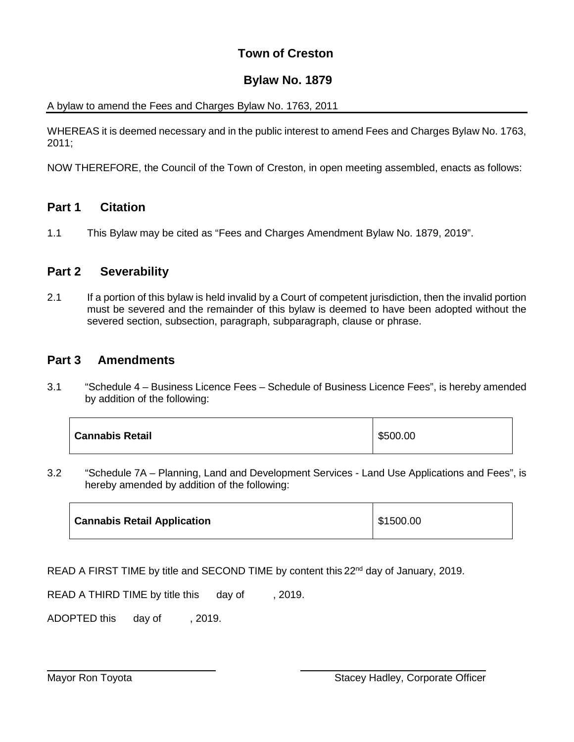### **Town of Creston**

### **Bylaw No. 1879**

### A bylaw to amend the Fees and Charges Bylaw No. 1763, 2011

WHEREAS it is deemed necessary and in the public interest to amend Fees and Charges Bylaw No. 1763, 2011;

NOW THEREFORE, the Council of the Town of Creston, in open meeting assembled, enacts as follows:

### **Part 1 Citation**

1.1 This Bylaw may be cited as "Fees and Charges Amendment Bylaw No. 1879, 2019".

### **Part 2 Severability**

2.1 If a portion of this bylaw is held invalid by a Court of competent jurisdiction, then the invalid portion must be severed and the remainder of this bylaw is deemed to have been adopted without the severed section, subsection, paragraph, subparagraph, clause or phrase.

### **Part 3 Amendments**

3.1 "Schedule 4 – Business Licence Fees – Schedule of Business Licence Fees", is hereby amended by addition of the following:

| <b>Cannabis Retail</b> | \$500.00 |
|------------------------|----------|
|------------------------|----------|

3.2 "Schedule 7A – Planning, Land and Development Services - Land Use Applications and Fees", is hereby amended by addition of the following:

| <b>Cannabis Retail Application</b> | \$1500.00 |
|------------------------------------|-----------|
|                                    |           |

READ A FIRST TIME by title and SECOND TIME by content this 22<sup>nd</sup> day of January, 2019.

READ A THIRD TIME by title this day of , 2019.

ADOPTED this day of , 2019.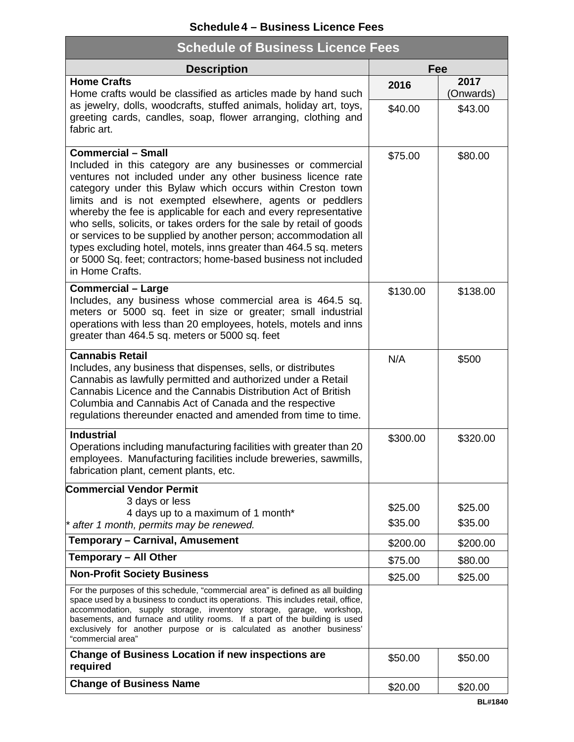### **Schedule4 – Business Licence Fees**

| <b>Schedule of Business Licence Fees</b>                                                                                                                                                                                                                                                                                                                                                                                                                                                                                                                                                                                                                  |          |                   |  |  |
|-----------------------------------------------------------------------------------------------------------------------------------------------------------------------------------------------------------------------------------------------------------------------------------------------------------------------------------------------------------------------------------------------------------------------------------------------------------------------------------------------------------------------------------------------------------------------------------------------------------------------------------------------------------|----------|-------------------|--|--|
| <b>Description</b>                                                                                                                                                                                                                                                                                                                                                                                                                                                                                                                                                                                                                                        | Fee      |                   |  |  |
| <b>Home Crafts</b><br>Home crafts would be classified as articles made by hand such                                                                                                                                                                                                                                                                                                                                                                                                                                                                                                                                                                       | 2016     | 2017<br>(Onwards) |  |  |
| as jewelry, dolls, woodcrafts, stuffed animals, holiday art, toys,<br>greeting cards, candles, soap, flower arranging, clothing and<br>fabric art.                                                                                                                                                                                                                                                                                                                                                                                                                                                                                                        | \$40.00  | \$43.00           |  |  |
| <b>Commercial - Small</b><br>Included in this category are any businesses or commercial<br>ventures not included under any other business licence rate<br>category under this Bylaw which occurs within Creston town<br>limits and is not exempted elsewhere, agents or peddlers<br>whereby the fee is applicable for each and every representative<br>who sells, solicits, or takes orders for the sale by retail of goods<br>or services to be supplied by another person; accommodation all<br>types excluding hotel, motels, inns greater than 464.5 sq. meters<br>or 5000 Sq. feet; contractors; home-based business not included<br>in Home Crafts. | \$75.00  | \$80.00           |  |  |
| <b>Commercial - Large</b><br>Includes, any business whose commercial area is 464.5 sq.<br>meters or 5000 sq. feet in size or greater; small industrial<br>operations with less than 20 employees, hotels, motels and inns<br>greater than 464.5 sq. meters or 5000 sq. feet                                                                                                                                                                                                                                                                                                                                                                               | \$130.00 | \$138.00          |  |  |
| <b>Cannabis Retail</b><br>Includes, any business that dispenses, sells, or distributes<br>Cannabis as lawfully permitted and authorized under a Retail<br>Cannabis Licence and the Cannabis Distribution Act of British<br>Columbia and Cannabis Act of Canada and the respective<br>regulations thereunder enacted and amended from time to time.                                                                                                                                                                                                                                                                                                        | N/A      | \$500             |  |  |
| <b>Industrial</b><br>Operations including manufacturing facilities with greater than 20<br>employees. Manufacturing facilities include breweries, sawmills,<br>fabrication plant, cement plants, etc.                                                                                                                                                                                                                                                                                                                                                                                                                                                     | \$300.00 | \$320.00          |  |  |
| <b>Commercial Vendor Permit</b>                                                                                                                                                                                                                                                                                                                                                                                                                                                                                                                                                                                                                           |          |                   |  |  |
| 3 days or less<br>4 days up to a maximum of 1 month*                                                                                                                                                                                                                                                                                                                                                                                                                                                                                                                                                                                                      | \$25.00  | \$25.00           |  |  |
| * after 1 month, permits may be renewed.                                                                                                                                                                                                                                                                                                                                                                                                                                                                                                                                                                                                                  | \$35.00  | \$35.00           |  |  |
| Temporary - Carnival, Amusement                                                                                                                                                                                                                                                                                                                                                                                                                                                                                                                                                                                                                           | \$200.00 | \$200.00          |  |  |
| <b>Temporary - All Other</b>                                                                                                                                                                                                                                                                                                                                                                                                                                                                                                                                                                                                                              | \$75.00  | \$80.00           |  |  |
| <b>Non-Profit Society Business</b>                                                                                                                                                                                                                                                                                                                                                                                                                                                                                                                                                                                                                        | \$25.00  | \$25.00           |  |  |
| For the purposes of this schedule, "commercial area" is defined as all building<br>space used by a business to conduct its operations. This includes retail, office,<br>accommodation, supply storage, inventory storage, garage, workshop,<br>basements, and furnace and utility rooms. If a part of the building is used<br>exclusively for another purpose or is calculated as another business'<br>"commercial area"                                                                                                                                                                                                                                  |          |                   |  |  |
| <b>Change of Business Location if new inspections are</b><br>required                                                                                                                                                                                                                                                                                                                                                                                                                                                                                                                                                                                     | \$50.00  | \$50.00           |  |  |
| <b>Change of Business Name</b>                                                                                                                                                                                                                                                                                                                                                                                                                                                                                                                                                                                                                            | \$20.00  | \$20.00           |  |  |